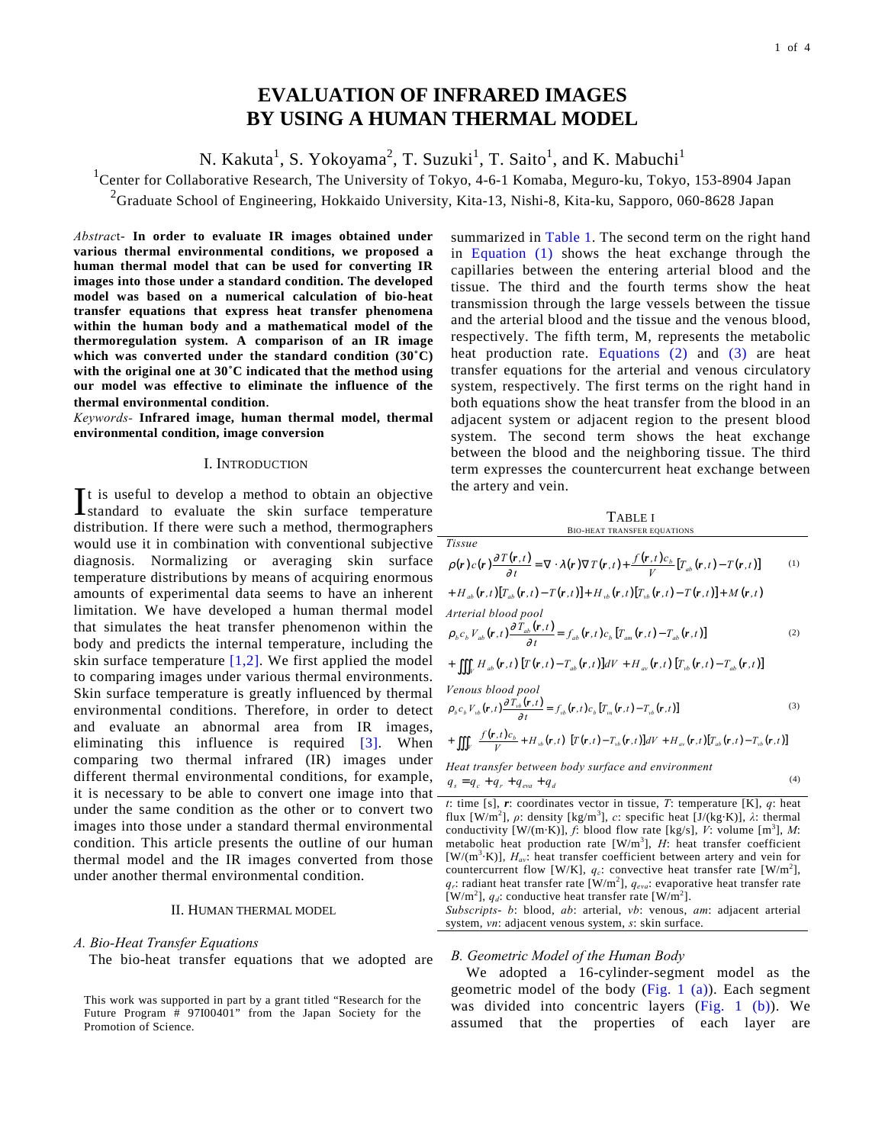# **EVALUATION OF INFRARED IMAGES BY USING A HUMAN THERMAL MODEL**

N. Kakuta<sup>1</sup>, S. Yokoyama<sup>2</sup>, T. Suzuki<sup>1</sup>, T. Saito<sup>1</sup>, and K. Mabuchi<sup>1</sup>

<sup>1</sup> Center for Collaborative Research, The University of Tokyo, 4-6-1 Komaba, Meguro-ku, Tokyo, 153-8904 Japan

 $2$ Graduate School of Engineering, Hokkaido University, Kita-13, Nishi-8, Kita-ku, Sapporo, 060-8628 Japan

*Abstrac*t- **In order to evaluate IR images obtained under various thermal environmental conditions, we proposed a human thermal model that can be used for converting IR images into those under a standard condition. The developed model was based on a numerical calculation of bio-heat transfer equations that express heat transfer phenomena within the human body and a mathematical model of the thermoregulation system. A comparison of an IR image which was converted under the standard condition (30˚C) with the original one at 30˚C indicated that the method using our model was effective to eliminate the influence of the thermal environmental condition**.

*Keywords-* **Infrared image, human thermal model, thermal environmental condition, image conversion** 

#### I. INTRODUCTION

t is useful to develop a method to obtain an objective It is useful to develop a method to obtain an objective standard to evaluate the skin surface temperature distribution. If there were such a method, thermographers would use it in combination with conventional subjective diagnosis. Normalizing or averaging skin surface temperature distributions by means of acquiring enormous amounts of experimental data seems to have an inherent limitation. We have developed a human thermal model that simulates the heat transfer phenomenon within the body and predicts the internal temperature, including the skin surface temperature  $[1,2]$ . We first applied the model to comparing images under various thermal environments. Skin surface temperature is greatly influenced by thermal environmental conditions. Therefore, in order to detect and evaluate an abnormal area from IR images, eliminating this influence is required  $\begin{bmatrix} 3 \end{bmatrix}$ . When comparing two thermal infrared (IR) images under different thermal environmental conditions, for example, it is necessary to be able to convert one image into that under the same condition as the other or to convert two images into those under a standard thermal environmental condition. This article presents the outline of our human thermal model and the IR images converted from those under another thermal environmental condition.

## II. HUMAN THERMAL MODEL

### *A. Bio-Heat Transfer Equations*

The bio-heat transfer equations that we adopted are

summarized in Table 1. The second term on the right hand in Equation (1) shows the heat exchange through the capillaries between the entering arterial blood and the tissue. The third and the fourth terms show the heat transmission through the large vessels between the tissue and the arterial blood and the tissue and the venous blood, respectively. The fifth term, M, represents the metabolic heat production rate. Equations  $(2)$  and  $(3)$  are heat transfer equations for the arterial and venous circulatory system, respectively. The first terms on the right hand in both equations show the heat transfer from the blood in an adjacent system or adjacent region to the present blood system. The second term shows the heat exchange between the blood and the neighboring tissue. The third term expresses the countercurrent heat exchange between the artery and vein.

TABLE I BIO-HEAT TRANSFER EQUATIONS *Tissue*   $\rho(\mathbf{r})c(\mathbf{r})\frac{\partial T(\mathbf{r},t)}{\partial t} = \nabla \cdot \lambda(\mathbf{r}) \nabla T(\mathbf{r},t) + \frac{f(\mathbf{r},t)c_b}{V} [T_{ab}(\mathbf{r},t) - T(\mathbf{r},t)]$  (1) +  $H_{ab}(\mathbf{r},t)[T_{ab}(\mathbf{r},t)-T(\mathbf{r},t)]+H_{vb}(\mathbf{r},t)[T_{vb}(\mathbf{r},t)-T(\mathbf{r},t)]+M(\mathbf{r},t)$ *Arterial blood pool* 

$$
\rho_b c_b V_{ab}(\mathbf{r},t) \frac{\partial T_{ab}(\mathbf{r},t)}{\partial t} = f_{ab}(\mathbf{r},t) c_b [T_{am}(\mathbf{r},t) - T_{ab}(\mathbf{r},t)]
$$
\n(2)

$$
+ \iiint_V H_{ab}(\mathbf{r},t) \left[ T(\mathbf{r},t) - T_{ab}(\mathbf{r},t) \right] dV + H_{av}(\mathbf{r},t) \left[ T_{vb}(\mathbf{r},t) - T_{ab}(\mathbf{r},t) \right]
$$

*Venous blood pool* 

$$
\rho_b c_b V_{vb}(\mathbf{r}, t) \frac{\partial T_{vb}(\mathbf{r}, t)}{\partial t} = f_{vb}(\mathbf{r}, t) c_b [T_m(\mathbf{r}, t) - T_{vb}(\mathbf{r}, t)]
$$
\n(3)

$$
+ \iiint_V \left[ \frac{f(\mathbf{r},t)c_b}{V} + H_{vb}(\mathbf{r},t) \right] [T(\mathbf{r},t) - T_{vb}(\mathbf{r},t)]dV + H_{av}(\mathbf{r},t)[T_{ab}(\mathbf{r},t) - T_{vb}(\mathbf{r},t)]
$$

*Heat transfer between body surface and environment*  $q_s = q_c + q_r + q_{\text{ev}} + q_d$  (4)

$$
q_s = q_c + q_r + q_{eva} + q_d
$$

*t*: time [s],  $r$ : coordinates vector in tissue,  $T$ : temperature [K],  $q$ : heat flux  $[W/m^2]$ ,  $\rho$ : density  $[kg/m^3]$ , *c*: specific heat  $[J/(kg·K)]$ , *λ*: thermal conductivity  $[W/(m \cdot K)]$ , *f*: blood flow rate [kg/s], *V*: volume  $[m^3]$ , *M*: metabolic heat production rate  $[W/m^3]$ , *H*: heat transfer coefficient  $[W/(m^3 \cdot K)]$ ,  $H_{av}$ : heat transfer coefficient between artery and vein for countercurrent flow [W/K],  $q_c$ : convective heat transfer rate [W/m<sup>2</sup>],  $q_r$ : radiant heat transfer rate [W/m<sup>2</sup>],  $q_{eva}$ : evaporative heat transfer rate [W/m<sup>2</sup>],  $q_d$ : conductive heat transfer rate [W/m<sup>2</sup>].

*Subscripts*- *b*: blood, *ab*: arterial, *vb*: venous, *am*: adjacent arterial system, *vn*: adjacent venous system, *s*: skin surface.

#### *B. Geometric Model of the Human Body*

We adopted a 16-cylinder-segment model as the geometric model of the body (Fig. 1  $(a)$ ). Each segment was divided into concentric layers  $(Fig. 1 (b))$ . We assumed that the properties of each layer are

This work was supported in part by a grant titled "Research for the Future Program # 97I00401" from the Japan Society for the Promotion of Science.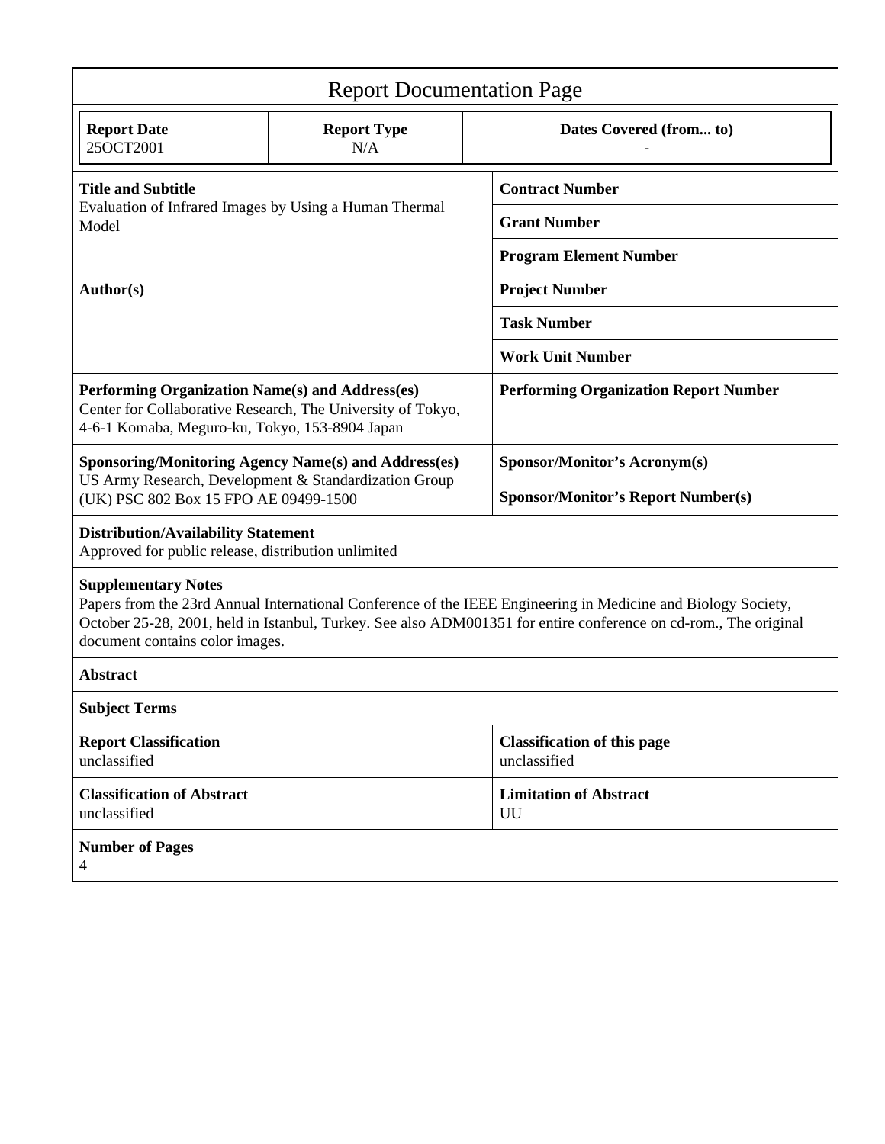| <b>Report Documentation Page</b>                                                                                                                                                                                                                                                                   |                           |                                                    |
|----------------------------------------------------------------------------------------------------------------------------------------------------------------------------------------------------------------------------------------------------------------------------------------------------|---------------------------|----------------------------------------------------|
| <b>Report Date</b><br>25OCT2001                                                                                                                                                                                                                                                                    | <b>Report Type</b><br>N/A | Dates Covered (from to)                            |
| <b>Title and Subtitle</b><br>Evaluation of Infrared Images by Using a Human Thermal<br>Model                                                                                                                                                                                                       |                           | <b>Contract Number</b>                             |
|                                                                                                                                                                                                                                                                                                    |                           | <b>Grant Number</b>                                |
|                                                                                                                                                                                                                                                                                                    |                           | <b>Program Element Number</b>                      |
| Author(s)                                                                                                                                                                                                                                                                                          |                           | <b>Project Number</b>                              |
|                                                                                                                                                                                                                                                                                                    |                           | <b>Task Number</b>                                 |
|                                                                                                                                                                                                                                                                                                    |                           | <b>Work Unit Number</b>                            |
| Performing Organization Name(s) and Address(es)<br>Center for Collaborative Research, The University of Tokyo,<br>4-6-1 Komaba, Meguro-ku, Tokyo, 153-8904 Japan                                                                                                                                   |                           | <b>Performing Organization Report Number</b>       |
| <b>Sponsoring/Monitoring Agency Name(s) and Address(es)</b><br>US Army Research, Development & Standardization Group<br>(UK) PSC 802 Box 15 FPO AE 09499-1500                                                                                                                                      |                           | Sponsor/Monitor's Acronym(s)                       |
|                                                                                                                                                                                                                                                                                                    |                           | <b>Sponsor/Monitor's Report Number(s)</b>          |
| <b>Distribution/Availability Statement</b><br>Approved for public release, distribution unlimited                                                                                                                                                                                                  |                           |                                                    |
| <b>Supplementary Notes</b><br>Papers from the 23rd Annual International Conference of the IEEE Engineering in Medicine and Biology Society,<br>October 25-28, 2001, held in Istanbul, Turkey. See also ADM001351 for entire conference on cd-rom., The original<br>document contains color images. |                           |                                                    |
| <b>Abstract</b>                                                                                                                                                                                                                                                                                    |                           |                                                    |
| <b>Subject Terms</b>                                                                                                                                                                                                                                                                               |                           |                                                    |
| <b>Report Classification</b><br>unclassified                                                                                                                                                                                                                                                       |                           | <b>Classification of this page</b><br>unclassified |
| <b>Classification of Abstract</b><br>unclassified                                                                                                                                                                                                                                                  |                           | <b>Limitation of Abstract</b><br>UU                |
| <b>Number of Pages</b><br>4                                                                                                                                                                                                                                                                        |                           |                                                    |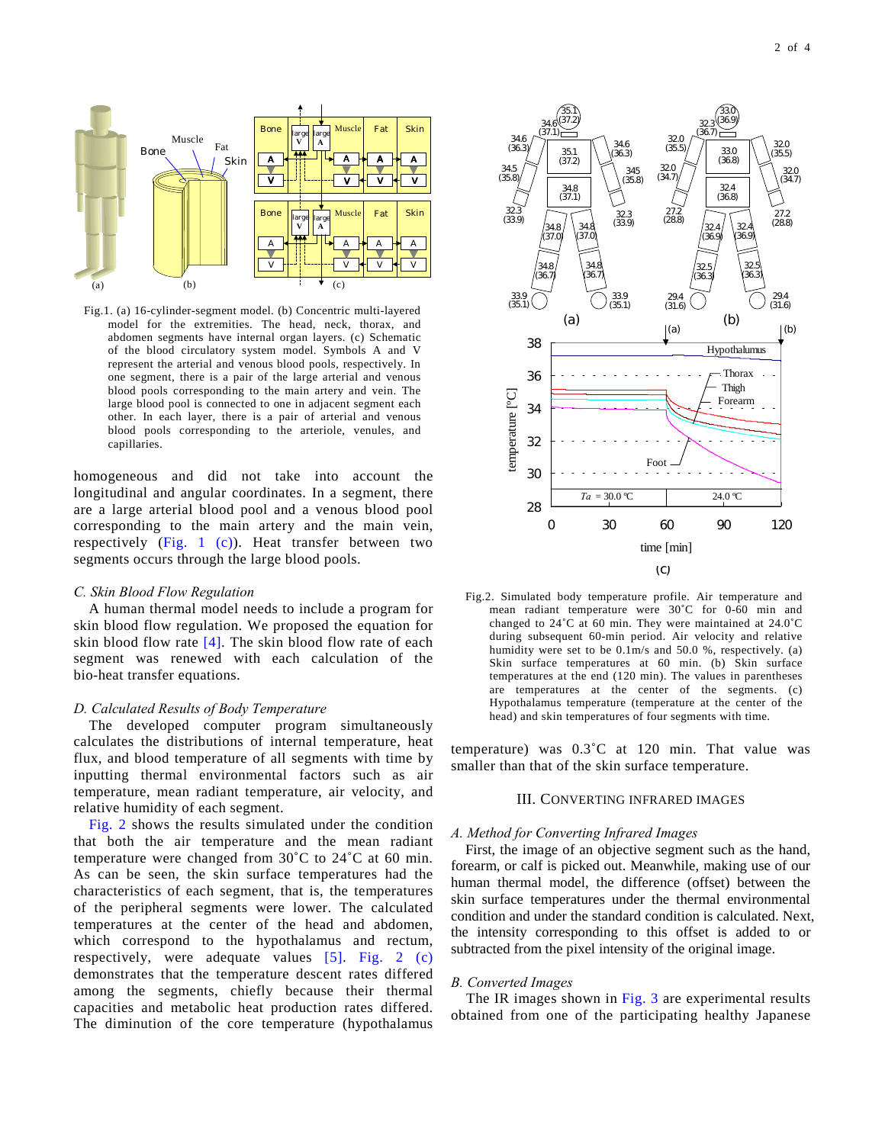

Fig.1. (a) 16-cylinder-segment model. (b) Concentric multi-layered model for the extremities. The head, neck, thorax, and abdomen segments have internal organ layers. (c) Schematic of the blood circulatory system model. Symbols A and V represent the arterial and venous blood pools, respectively. In one segment, there is a pair of the large arterial and venous blood pools corresponding to the main artery and vein. The large blood pool is connected to one in adjacent segment each other. In each layer, there is a pair of arterial and venous blood pools corresponding to the arteriole, venules, and capillaries.

homogeneous and did not take into account the longitudinal and angular coordinates. In a segment, there are a large arterial blood pool and a venous blood pool corresponding to the main artery and the main vein, respectively  $(Fig. 1 (c))$ . Heat transfer between two segments occurs through the large blood pools.

# *C. Skin Blood Flow Regulation*

A human thermal model needs to include a program for skin blood flow regulation. We proposed the equation for skin blood flow rate  $[4]$ . The skin blood flow rate of each segment was renewed with each calculation of the bio-heat transfer equations.

### *D. Calculated Results of Body Temperature*

The developed computer program simultaneously calculates the distributions of internal temperature, heat flux, and blood temperature of all segments with time by inputting thermal environmental factors such as air temperature, mean radiant temperature, air velocity, and relative humidity of each segment.

Fig. 2 shows the results simulated under the condition that both the air temperature and the mean radiant temperature were changed from 30˚C to 24˚C at 60 min. As can be seen, the skin surface temperatures had the characteristics of each segment, that is, the temperatures of the peripheral segments were lower. The calculated temperatures at the center of the head and abdomen, which correspond to the hypothalamus and rectum, respectively, were adequate values [5]. Fig. 2 (c) demonstrates that the temperature descent rates differed among the segments, chiefly because their thermal capacities and metabolic heat production rates differed. The diminution of the core temperature (hypothalamus



Fig.2. Simulated body temperature profile. Air temperature and mean radiant temperature were 30˚C for 0-60 min and changed to 24˚C at 60 min. They were maintained at 24.0˚C during subsequent 60-min period. Air velocity and relative humidity were set to be 0.1m/s and 50.0 %, respectively. (a) Skin surface temperatures at 60 min. (b) Skin surface temperatures at the end (120 min). The values in parentheses are temperatures at the center of the segments. (c) Hypothalamus temperature (temperature at the center of the head) and skin temperatures of four segments with time.

temperature) was 0.3˚C at 120 min. That value was smaller than that of the skin surface temperature.

## III. CONVERTING INFRARED IMAGES

# *A. Method for Converting Infrared Images*

First, the image of an objective segment such as the hand, forearm, or calf is picked out. Meanwhile, making use of our human thermal model, the difference (offset) between the skin surface temperatures under the thermal environmental condition and under the standard condition is calculated. Next, the intensity corresponding to this offset is added to or subtracted from the pixel intensity of the original image.

## *B. Converted Images*

The IR images shown in Fig. 3 are experimental results obtained from one of the participating healthy Japanese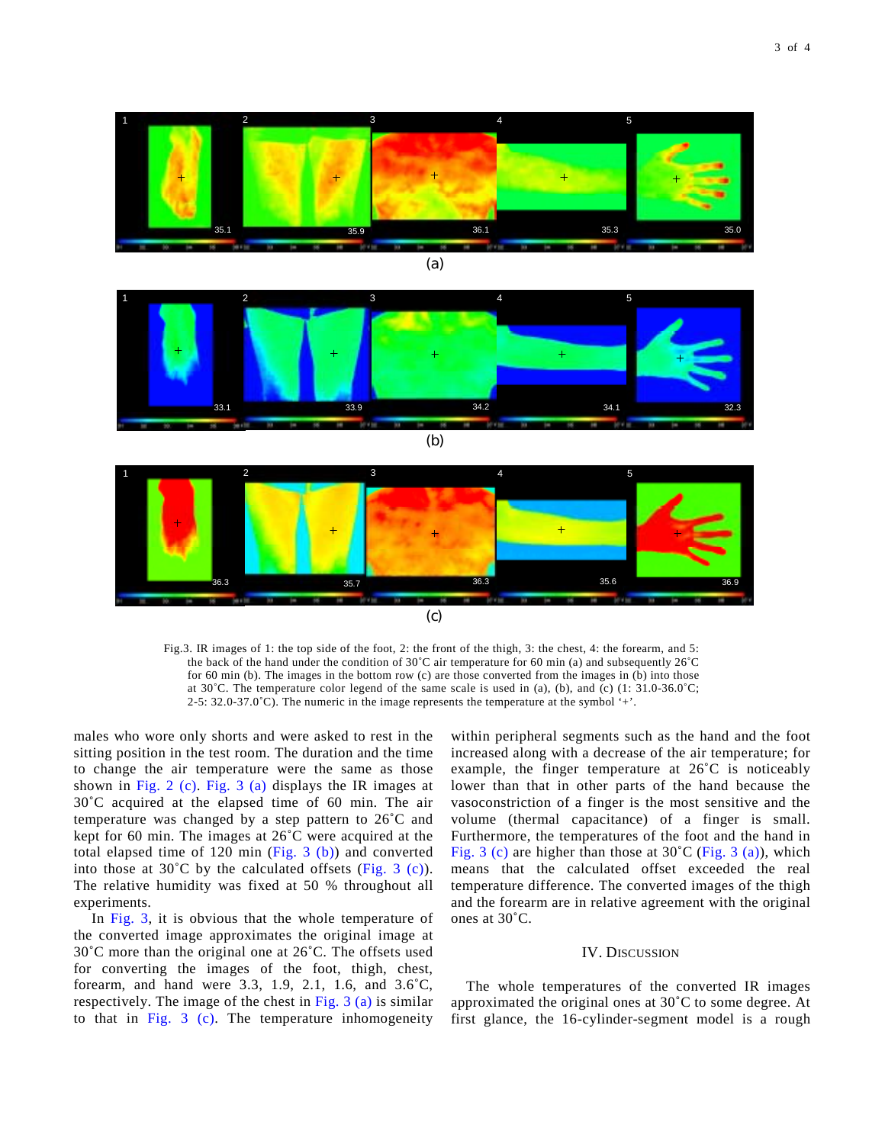







Fig.3. IR images of 1: the top side of the foot, 2: the front of the thigh, 3: the chest, 4: the forearm, and 5: the back of the hand under the condition of 30˚C air temperature for 60 min (a) and subsequently 26˚C for 60 min (b). The images in the bottom row (c) are those converted from the images in (b) into those at 30˚C. The temperature color legend of the same scale is used in (a), (b), and (c) (1: 31.0-36.0˚C; 2-5:  $32.0-37.0^{\circ}$ C). The numeric in the image represents the temperature at the symbol '+'.

males who wore only shorts and were asked to rest in the sitting position in the test room. The duration and the time to change the air temperature were the same as those shown in Fig. 2 (c). Fig. 3 (a) displays the IR images at 30˚C acquired at the elapsed time of 60 min. The air temperature was changed by a step pattern to 26˚C and kept for 60 min. The images at 26˚C were acquired at the total elapsed time of  $120 \text{ min}$  (Fig. 3 (b)) and converted into those at  $30^{\circ}$ C by the calculated offsets (Fig. 3 (c)). The relative humidity was fixed at 50 % throughout all experiments.

In Fig. 3, it is obvious that the whole temperature of the converted image approximates the original image at 30˚C more than the original one at 26˚C. The offsets used for converting the images of the foot, thigh, chest, forearm, and hand were 3.3, 1.9, 2.1, 1.6, and 3.6˚C, respectively. The image of the chest in Fig.  $3$  (a) is similar to that in Fig. 3 (c). The temperature inhomogeneity

within peripheral segments such as the hand and the foot increased along with a decrease of the air temperature; for example, the finger temperature at 26˚C is noticeably lower than that in other parts of the hand because the vasoconstriction of a finger is the most sensitive and the volume (thermal capacitance) of a finger is small. Furthermore, the temperatures of the foot and the hand in Fig. 3 (c) are higher than those at  $30^{\circ}$ C (Fig. 3 (a)), which means that the calculated offset exceeded the real temperature difference. The converted images of the thigh and the forearm are in relative agreement with the original ones at 30˚C.

# IV. DISCUSSION

The whole temperatures of the converted IR images approximated the original ones at 30˚C to some degree. At first glance, the 16-cylinder-segment model is a rough